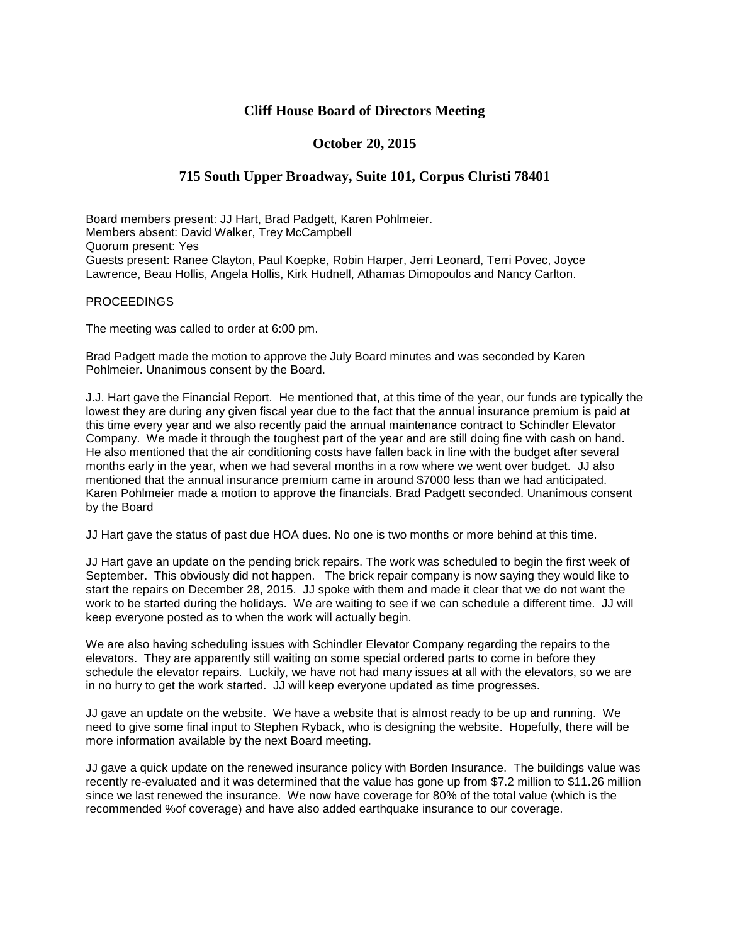## **Cliff House Board of Directors Meeting**

## **October 20, 2015**

## **715 South Upper Broadway, Suite 101, Corpus Christi 78401**

Board members present: JJ Hart, Brad Padgett, Karen Pohlmeier. Members absent: David Walker, Trey McCampbell Quorum present: Yes Guests present: Ranee Clayton, Paul Koepke, Robin Harper, Jerri Leonard, Terri Povec, Joyce Lawrence, Beau Hollis, Angela Hollis, Kirk Hudnell, Athamas Dimopoulos and Nancy Carlton.

## **PROCEEDINGS**

The meeting was called to order at 6:00 pm.

Brad Padgett made the motion to approve the July Board minutes and was seconded by Karen Pohlmeier. Unanimous consent by the Board.

J.J. Hart gave the Financial Report. He mentioned that, at this time of the year, our funds are typically the lowest they are during any given fiscal year due to the fact that the annual insurance premium is paid at this time every year and we also recently paid the annual maintenance contract to Schindler Elevator Company. We made it through the toughest part of the year and are still doing fine with cash on hand. He also mentioned that the air conditioning costs have fallen back in line with the budget after several months early in the year, when we had several months in a row where we went over budget. JJ also mentioned that the annual insurance premium came in around \$7000 less than we had anticipated. Karen Pohlmeier made a motion to approve the financials. Brad Padgett seconded. Unanimous consent by the Board

JJ Hart gave the status of past due HOA dues. No one is two months or more behind at this time.

JJ Hart gave an update on the pending brick repairs. The work was scheduled to begin the first week of September. This obviously did not happen. The brick repair company is now saying they would like to start the repairs on December 28, 2015. JJ spoke with them and made it clear that we do not want the work to be started during the holidays. We are waiting to see if we can schedule a different time. JJ will keep everyone posted as to when the work will actually begin.

We are also having scheduling issues with Schindler Elevator Company regarding the repairs to the elevators. They are apparently still waiting on some special ordered parts to come in before they schedule the elevator repairs. Luckily, we have not had many issues at all with the elevators, so we are in no hurry to get the work started. JJ will keep everyone updated as time progresses.

JJ gave an update on the website. We have a website that is almost ready to be up and running. We need to give some final input to Stephen Ryback, who is designing the website. Hopefully, there will be more information available by the next Board meeting.

JJ gave a quick update on the renewed insurance policy with Borden Insurance. The buildings value was recently re-evaluated and it was determined that the value has gone up from \$7.2 million to \$11.26 million since we last renewed the insurance. We now have coverage for 80% of the total value (which is the recommended %of coverage) and have also added earthquake insurance to our coverage.